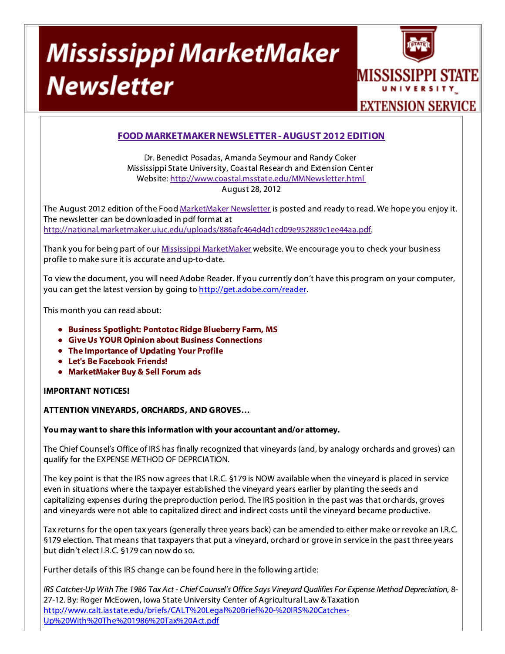# **Mississippi MarketMaker Newsletter**



## FOOD MARKETMAKER NEWSLETTER - AUGUST 2012 EDITION

Dr. Benedict Posadas, Amanda Seymour and Randy Coker Mississippi State University, Coastal Research and Extension Center Website: http://www.coastal.msstate.edu/MMNewsletter.html August 28, 2012

The August 2012 edition of the Food MarketMaker Newsletter is posted and ready to read. We hope you enjoy it. The newsletter can be downloaded in pdf format at http://national.marketmaker.uiuc.edu/uploads/886afc464d4d1cd09e952889c1ee44aa.pdf.

Thank you for being part of our Mississippi MarketMaker website. We encourage you to check your business profile to make sure it is accurate and up-to-date.

To view the document, you will need Adobe Reader. If you currently don't have this program on your computer, you can get the latest version by going to http://get.adobe.com/reader.

This month you can read about:

- Business Spotlight: Pontotoc Ridge Blueberry Farm, MS
- Give Us YOUR Opinion about Business Connections
- The Importance of Updating Your Profile
- Let's Be Facebook Friends!
- MarketMaker Buy & Sell Forum ads

### IMPORTANT NOTICES!

#### ATTENTION VINEYARDS, ORCHARDS, AND GROVES…

#### You may want to share this information with your accountant and/or attorney.

The Chief Counsel's Office of IRS has finally recognized that vineyards (and, by analogy orchards and groves) can qualify for the EXPENSE METHOD OF DEPRCIATION.

The key point is that the IRS now agrees that I.R.C. §179 is NOW available when the vineyard is placed in serviceeven in situations where the taxpayer established the vineyard years earlier by planting the seeds andcapitalizing expenses during the preproduction period. The IRS position in the past was that orchards, groves and vineyards were not able to capitalized direct and indirect costs until the vineyard became productive.

Tax returns for the open tax years (generally three years back) can be amended to either make or revoke an I.R.C. §179 election. That means that taxpayers that put a vineyard, orchard or grove in service in the past three years but didn't elect I.R.C. §179 can now do so.

Further details of this IRS change can be found here in the following article:

IRS Catches-Up With The 1986 Tax Act - Chief Counsel's Office Says Vineyard Qualifies For Expense Method Depreciation, 8-27-12. By: Roger McEowen, Iowa State University Center of Agricultural Law & Taxation http://www.calt.iastate.edu/briefs/CALT%20Legal%20Brief%20-%20IRS%20Catches-Up%20With%20The%201986%20Tax%20Act.pdf